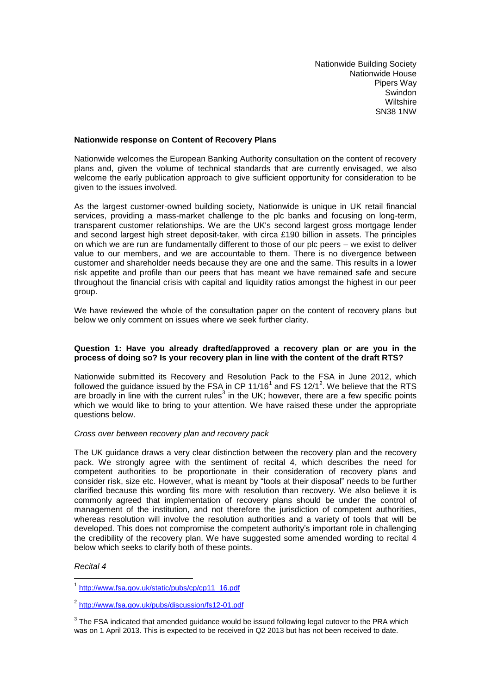Nationwide Building Society Nationwide House Pipers Way Swindon **Wiltshire** SN38 1NW

# **Nationwide response on Content of Recovery Plans**

Nationwide welcomes the European Banking Authority consultation on the content of recovery plans and, given the volume of technical standards that are currently envisaged, we also welcome the early publication approach to give sufficient opportunity for consideration to be given to the issues involved.

As the largest customer-owned building society, Nationwide is unique in UK retail financial services, providing a mass-market challenge to the plc banks and focusing on long-term, transparent customer relationships. We are the UK's second largest gross mortgage lender and second largest high street deposit-taker, with circa £190 billion in assets. The principles on which we are run are fundamentally different to those of our plc peers – we exist to deliver value to our members, and we are accountable to them. There is no divergence between customer and shareholder needs because they are one and the same. This results in a lower risk appetite and profile than our peers that has meant we have remained safe and secure throughout the financial crisis with capital and liquidity ratios amongst the highest in our peer group.

We have reviewed the whole of the consultation paper on the content of recovery plans but below we only comment on issues where we seek further clarity.

# **Question 1: Have you already drafted/approved a recovery plan or are you in the process of doing so? Is your recovery plan in line with the content of the draft RTS?**

Nationwide submitted its Recovery and Resolution Pack to the FSA in June 2012, which followed the guidance issued by the FSA in CP 11/16<sup>1</sup> and FS 12/1<sup>2</sup>. We believe that the RTS are broadly in line with the current rules<sup>3</sup> in the UK; however, there are a few specific points which we would like to bring to your attention. We have raised these under the appropriate questions below.

## *Cross over between recovery plan and recovery pack*

The UK guidance draws a very clear distinction between the recovery plan and the recovery pack. We strongly agree with the sentiment of recital 4, which describes the need for competent authorities to be proportionate in their consideration of recovery plans and consider risk, size etc. However, what is meant by "tools at their disposal" needs to be further clarified because this wording fits more with resolution than recovery. We also believe it is commonly agreed that implementation of recovery plans should be under the control of management of the institution, and not therefore the jurisdiction of competent authorities, whereas resolution will involve the resolution authorities and a variety of tools that will be developed. This does not compromise the competent authority's important role in challenging the credibility of the recovery plan. We have suggested some amended wording to recital 4 below which seeks to clarify both of these points.

## *Recital 4*

1

<sup>&</sup>lt;sup>1</sup> [http://www.fsa.gov.uk/static/pubs/cp/cp11\\_16.pdf](http://www.fsa.gov.uk/static/pubs/cp/cp11_16.pdf)

<sup>2</sup> <http://www.fsa.gov.uk/pubs/discussion/fs12-01.pdf>

 $3$  The FSA indicated that amended guidance would be issued following legal cutover to the PRA which was on 1 April 2013. This is expected to be received in Q2 2013 but has not been received to date.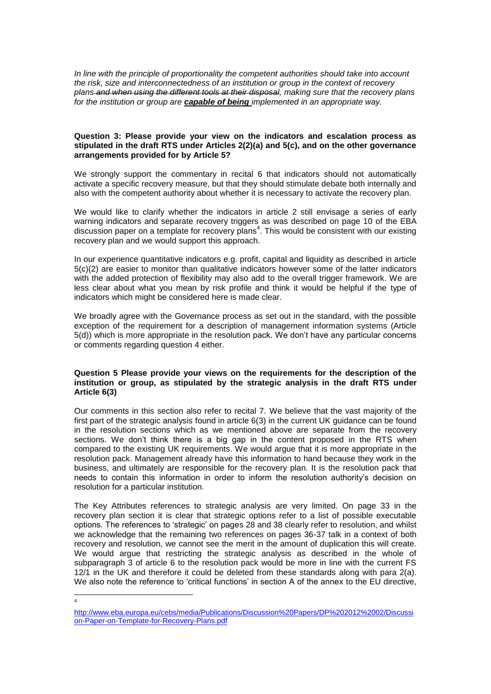*In line with the principle of proportionality the competent authorities should take into account the risk, size and interconnectedness of an institution or group in the context of recovery plans and when using the different tools at their disposal, making sure that the recovery plans for the institution or group are capable of being implemented in an appropriate way.* 

#### **Question 3: Please provide your view on the indicators and escalation process as stipulated in the draft RTS under Articles 2(2)(a) and 5(c), and on the other governance arrangements provided for by Article 5?**

We strongly support the commentary in recital 6 that indicators should not automatically activate a specific recovery measure, but that they should stimulate debate both internally and also with the competent authority about whether it is necessary to activate the recovery plan.

We would like to clarify whether the indicators in article 2 still envisage a series of early warning indicators and separate recovery triggers as was described on page 10 of the EBA discussion paper on a template for recovery plans<sup>4</sup>. This would be consistent with our existing recovery plan and we would support this approach.

In our experience quantitative indicators e.g. profit, capital and liquidity as described in article 5(c)(2) are easier to monitor than qualitative indicators however some of the latter indicators with the added protection of flexibility may also add to the overall trigger framework. We are less clear about what you mean by risk profile and think it would be helpful if the type of indicators which might be considered here is made clear.

We broadly agree with the Governance process as set out in the standard, with the possible exception of the requirement for a description of management information systems (Article 5(d)) which is more appropriate in the resolution pack. We don't have any particular concerns or comments regarding question 4 either.

# **Question 5 Please provide your views on the requirements for the description of the institution or group, as stipulated by the strategic analysis in the draft RTS under Article 6(3)**

Our comments in this section also refer to recital 7. We believe that the vast majority of the first part of the strategic analysis found in article 6(3) in the current UK guidance can be found in the resolution sections which as we mentioned above are separate from the recovery sections. We don't think there is a big gap in the content proposed in the RTS when compared to the existing UK requirements. We would argue that it is more appropriate in the resolution pack. Management already have this information to hand because they work in the business, and ultimately are responsible for the recovery plan. It is the resolution pack that needs to contain this information in order to inform the resolution authority's decision on resolution for a particular institution.

The Key Attributes references to strategic analysis are very limited. On page 33 in the recovery plan section it is clear that strategic options refer to a list of possible executable options. The references to 'strategic' on pages 28 and 38 clearly refer to resolution, and whilst we acknowledge that the remaining two references on pages 36-37 talk in a context of both recovery and resolution, we cannot see the merit in the amount of duplication this will create. We would argue that restricting the strategic analysis as described in the whole of subparagraph 3 of article 6 to the resolution pack would be more in line with the current FS 12/1 in the UK and therefore it could be deleted from these standards along with para 2(a). We also note the reference to 'critical functions' in section A of the annex to the EU directive,

 $\frac{1}{4}$ 

[http://www.eba.europa.eu/cebs/media/Publications/Discussion%20Papers/DP%202012%2002/Discussi](http://www.eba.europa.eu/cebs/media/Publications/Discussion%20Papers/DP%202012%2002/Discussion-Paper-on-Template-for-Recovery-Plans.pdf) [on-Paper-on-Template-for-Recovery-Plans.pdf](http://www.eba.europa.eu/cebs/media/Publications/Discussion%20Papers/DP%202012%2002/Discussion-Paper-on-Template-for-Recovery-Plans.pdf)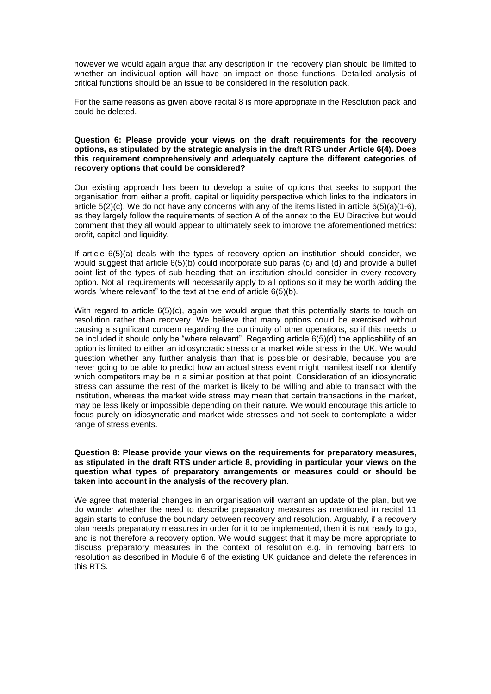however we would again argue that any description in the recovery plan should be limited to whether an individual option will have an impact on those functions. Detailed analysis of critical functions should be an issue to be considered in the resolution pack.

For the same reasons as given above recital 8 is more appropriate in the Resolution pack and could be deleted.

## **Question 6: Please provide your views on the draft requirements for the recovery options, as stipulated by the strategic analysis in the draft RTS under Article 6(4). Does this requirement comprehensively and adequately capture the different categories of recovery options that could be considered?**

Our existing approach has been to develop a suite of options that seeks to support the organisation from either a profit, capital or liquidity perspective which links to the indicators in article 5(2)(c). We do not have any concerns with any of the items listed in article 6(5)(a)(1-6), as they largely follow the requirements of section A of the annex to the EU Directive but would comment that they all would appear to ultimately seek to improve the aforementioned metrics: profit, capital and liquidity.

If article 6(5)(a) deals with the types of recovery option an institution should consider, we would suggest that article 6(5)(b) could incorporate sub paras (c) and (d) and provide a bullet point list of the types of sub heading that an institution should consider in every recovery option. Not all requirements will necessarily apply to all options so it may be worth adding the words "where relevant" to the text at the end of article 6(5)(b).

With regard to article 6(5)(c), again we would argue that this potentially starts to touch on resolution rather than recovery. We believe that many options could be exercised without causing a significant concern regarding the continuity of other operations, so if this needs to be included it should only be "where relevant". Regarding article 6(5)(d) the applicability of an option is limited to either an idiosyncratic stress or a market wide stress in the UK. We would question whether any further analysis than that is possible or desirable, because you are never going to be able to predict how an actual stress event might manifest itself nor identify which competitors may be in a similar position at that point. Consideration of an idiosyncratic stress can assume the rest of the market is likely to be willing and able to transact with the institution, whereas the market wide stress may mean that certain transactions in the market, may be less likely or impossible depending on their nature. We would encourage this article to focus purely on idiosyncratic and market wide stresses and not seek to contemplate a wider range of stress events.

## **Question 8: Please provide your views on the requirements for preparatory measures, as stipulated in the draft RTS under article 8, providing in particular your views on the question what types of preparatory arrangements or measures could or should be taken into account in the analysis of the recovery plan.**

We agree that material changes in an organisation will warrant an update of the plan, but we do wonder whether the need to describe preparatory measures as mentioned in recital 11 again starts to confuse the boundary between recovery and resolution. Arguably, if a recovery plan needs preparatory measures in order for it to be implemented, then it is not ready to go, and is not therefore a recovery option. We would suggest that it may be more appropriate to discuss preparatory measures in the context of resolution e.g. in removing barriers to resolution as described in Module 6 of the existing UK guidance and delete the references in this RTS.